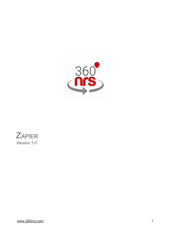



[www.360nrs.com](http://www.360nrs.com/) 1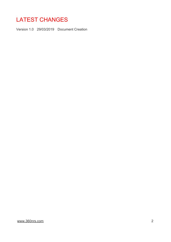# LATEST CHANGES

Version 1.0 29/03/2019 Document Creation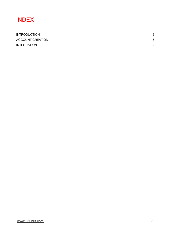# INDEX

| <b>INTRODUCTION</b>     | 5              |
|-------------------------|----------------|
| <b>ACCOUNT CREATION</b> | 6              |
| <b>INTEGRATION</b>      | $\overline{ }$ |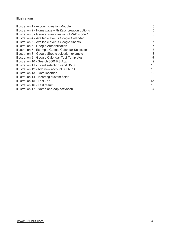### **Illustrations**

| Illustration 1 - Account creation Module              | 5  |
|-------------------------------------------------------|----|
| Illustration 2 - Home page with Zaps creation options | 5  |
| Illustration 3 - General view creation of ZAP mode 1  | 6  |
| Illustration 4 - Available events Google Calendar     | 6  |
| Illustration 5 - Available events Google Sheets       | 7  |
| Illustration 6 - Google Authentication                | 7  |
| Illustration 7 - Example Google Calendar Selection    | 8  |
| Illustration 8 - Google Sheets selection example      | 8  |
| Illustration 9 - Google Calendar Test Templates       | 9  |
| Illustration 10 - Search 360NRS App                   | 9  |
| Illustration 11 - Event selection send SMS            | 10 |
| Illustration 12 - Add new account 360NRS              | 10 |
| Illustration 13 - Data insertion                      | 12 |
| Illustration 14 - Inserting custom fields             | 12 |
| Illustration 15 - Test Zap                            | 13 |
| Illustration 16 - Test result                         | 13 |
| Illustration 17 - Name and Zap activation             | 14 |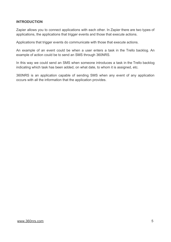## **INTRODUCTION**

Zapier allows you to connect applications with each other. In Zapier there are two types of applications, the applications that trigger events and those that execute actions.

Applications that trigger events do communicate with those that execute actions.

An example of an event could be when a user enters a task in the Trello backlog. An example of action could be to send an SMS through 360NRS.

In this way we could send an SMS when someone introduces a task in the Trello backlog indicating which task has been added, on what date, to whom it is assigned, etc.

360NRS is an application capable of sending SMS when any event of any application occurs with all the information that the application provides.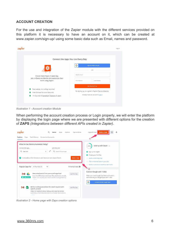### **ACCOUNT CREATION**

For the use and integration of the Zapier module with the different services provided on this platform it is necessary to have an account on it, which can be created at www.zapier.com/sign-up/ using some basic data such as Email, names and password.

|                                                                  | Connect the Apps You Use Every Day                     |
|------------------------------------------------------------------|--------------------------------------------------------|
|                                                                  | Sign Up With Google<br>о                               |
|                                                                  | OR                                                     |
| Create more hours in your day.                                   | Work Email                                             |
| Join millions worldwide who automate their<br>work using Zapier. | First Name<br>Last Name                                |
|                                                                  | <b>Get Started Free</b>                                |
| Easy setup, no coding required<br>$\bullet$                      | By signing up, you agree to Zapier's Terms of Service. |
| Free forever for core features                                   |                                                        |
| 14-day trial of premium features & apps<br>$\bullet$             | Already have an account? Log In                        |

*Illustration 1 - Account creation Module*

When performing the account creation process or Login properly, we will enter the platform by displaying the login page where we are presented with different options for the creation of **ZAPS** *(Integrations between different APIs created in Zapier)*.



*Illustration 2 - Home page with Zaps creation options*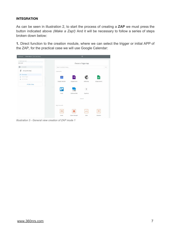## **INTEGRATION**

As can be seen in illustration 2, to start the process of creating a **ZAP** we must press the button indicated above *(Make a Zap!)* And it will be necessary to follow a series of steps broken down below:

**1.** Direct function to the creation module, where we can select the trigger or initial APP of the ZAP, for the practical case we will use Google Calendar:

| Dashboard<br>Choose App or View Task History |                         |                  | *                    |               |
|----------------------------------------------|-------------------------|------------------|----------------------|---------------|
| / Name your zap                              |                         |                  |                      |               |
| Add a note                                   |                         |                  | Choose a Trigger App |               |
| <b>Q</b> 1. TRIGGER<br>                      | Search hundreds of apps |                  |                      | $\checkmark$  |
| 4<br>Set up this step                        | YOUR APPS               |                  |                      |               |
| Choose App                                   |                         |                  |                      |               |
| Choose Trigger<br>Α                          | 31                      | ⊫                |                      | 晅             |
| Test This Step<br>a                          |                         |                  |                      |               |
|                                              | Google Calendar         | Google Forms     | Mailchimp            | Google Sheets |
| + Add a Step                                 |                         |                  |                      |               |
|                                              |                         | <b>ClickSend</b> | T                    |               |
|                                              | Trello                  | ClickSend SMS    | Typeform             |               |
|                                              |                         |                  |                      |               |
|                                              |                         |                  | show all             |               |
|                                              |                         |                  |                      |               |
|                                              | <b>BUILT-IN APPS</b>    |                  |                      |               |
|                                              | ▽                       | ∗                | $\lt/$               | $\mathcal{D}$ |
|                                              |                         |                  |                      |               |

*Illustration 3 - General view creation of ZAP mode 1*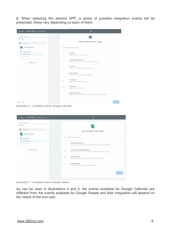**2.** When selecting the desired APP, a series of possible integration events will be presented, these vary depending on each of them:

| Dashboard - Choose Trigger or View Task History | ₩                                                                                                             |
|-------------------------------------------------|---------------------------------------------------------------------------------------------------------------|
| / Name your zap                                 | 31                                                                                                            |
| Add a note                                      |                                                                                                               |
| <b>C</b> 1. TRIGGER<br>                         | Select Google Calendar Trigger                                                                                |
| Set up this step<br>$\overline{31}$             | Search Google Calendar Triggers                                                                               |
| Google Calendar                                 |                                                                                                               |
| <b>Choose Trigger</b>                           | New Event<br>$\circ$<br>Triggers when an event is created.                                                    |
| A<br>Test This Step                             |                                                                                                               |
|                                                 | New Event Matching Search<br>$\circ$<br>Triggers when an event is created that matches a search.              |
| + Add a Step                                    |                                                                                                               |
|                                                 | <b>Event Start</b><br>$\circ$<br>Triggers a specified time before an event starts.                            |
|                                                 | <b>Event Cancelled</b><br>$\circ$<br>Triggers when an event is cancelled or deleted.                          |
|                                                 | New Calendar<br>$\circ$<br>Triggers when a calendar is created.                                               |
|                                                 | <b>Event Ended</b><br>$\circ$<br>Triggers when an event ends.                                                 |
|                                                 | New or Updated Event<br>$\circ$<br>Triggers when an event is created or updated (except when it's cancelled). |
|                                                 |                                                                                                               |
| Get Help                                        | Continue                                                                                                      |

*Illustration 4 - Available events Google Calendar*

| Choose Trigger or View Task History<br>Dashboard -                                   |         | *                                                                                                         |
|--------------------------------------------------------------------------------------|---------|-----------------------------------------------------------------------------------------------------------|
| / Name your zap<br>Add a note<br><b>Q</b> 1. TRIGGER<br>122<br>Set up this step<br>臣 |         | ⊞<br>Select Google Sheets Trigger                                                                         |
| Google Sheets                                                                        |         | Search Google Sheets Triggers                                                                             |
| <b>Choose Trigger</b><br>≙<br>Test This Step                                         | $\circ$ | New Spreadsheet Row<br>Notifies your Zap when a new row is added to the bottom of a spreadsheet.          |
| + Add a Step                                                                         | $\circ$ | New or Updated Spreadsheet Row<br>Notifies your Zap when a new row is added or modified in a spreadsheet. |
|                                                                                      | $\circ$ | New Worksheet<br>Triggered when you create a new worksheet in a spreadsheet.                              |
|                                                                                      | $\circ$ | New Spreadsheet<br>Triggered when you create a new spreadsheet.                                           |
|                                                                                      |         | Continue                                                                                                  |

*Illustration 5 - Available events Google Sheets*

As can be seen in illustrations 4 and 5, the events available for Google Calendar are different from the events available for Google Sheets and their integration will depend on the needs of the end user.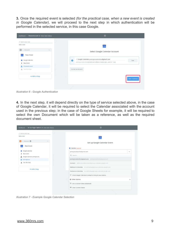**3.** Once the required event is selected *(for the practical case, when a new event is created in Google Calendar)*, we will proceed to the next step in which authentication will be performed in the selected service, in this case Google.

| Dashboard<br>Choose Account or View Task History                                                                                                                         | *                                                                                                                                                                                    |
|--------------------------------------------------------------------------------------------------------------------------------------------------------------------------|--------------------------------------------------------------------------------------------------------------------------------------------------------------------------------------|
| / Name your zap<br>Add a note<br>Q 1. TRIGGER<br><br>New Event<br>31<br><b>ST</b> Google Calendar<br>New Event<br>Choose Account<br>a.<br>Test This Step<br>+ Add a Step | 31<br>Select Google Calendar Account<br>/ Google Calendar<br>@gmail.com<br>$\bullet$<br>Test<br>@gmail.com added 2 weeks ago, used in 1 Zap<br>Connect an Account<br>Save + Continue |
|                                                                                                                                                                          |                                                                                                                                                                                      |

*Illustration 6 - Google Authentication*

**4.** In the next step, it will depend directly on the type of service selected above, in the case of Google Calendar, it will be required to select the Calendar associated with the account used in the previous step; in the case of Google Sheets for example, it will be required to select the own Document which will be taken as a reference, as well as the required document sheet.

| / Name your zap<br>Add a note             | 31                                                                     |
|-------------------------------------------|------------------------------------------------------------------------|
| Q 1. TRIGGER<br>                          | Set up Google Calendar Event                                           |
| <b>New Event</b>                          | Calendar (required)                                                    |
| Google Calendar                           | javiergonzalezsilva@gmail.com<br>$\checkmark$                          |
| New Event<br>Google Calendar javiergonzal | Q Search                                                               |
| <b>Edit Options</b>                       | @gmail.com<br>@gmail.com                                               |
| Test This Step                            | Contacts addressbook#contacts@group.v.calendar.google.com              |
|                                           | Holidays in Colombia en.co#holiday@group.v.calendar.google.com         |
| + Add a Step                              | Festivos en Colombia es.co#holiday@group.v.calendar.google.com         |
|                                           | C <sup>+</sup> Check Google Calendar & reload to bring in new choices. |
|                                           | to Other Options<br>∧                                                  |
|                                           | 中 Use a Custom Value (advanced)                                        |
|                                           | Clear Current Choice                                                   |

*Illustration 7 - Example Google Calendar Selection*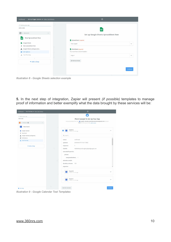| Set Up Trigger Options or View Task History<br>Dashboard                       | *                                                                                                 |  |
|--------------------------------------------------------------------------------|---------------------------------------------------------------------------------------------------|--|
| / Name your zap<br>Add a note<br>1. TRIGGER<br>$\boxed{\odot}$<br>1222         | 囯                                                                                                 |  |
| New Spreadsheet Row<br>囯                                                       | Set up Google Sheets Spreadsheet Row<br>Spreadsheet (required)                                    |  |
| Google Sheets<br>New Spreadsheet Row<br>Google Sheets javiergonzalez<br>٠<br>÷ | <b>Test Zapier</b><br>$\checkmark$<br><b>Morksheet</b> (required)<br>You must have column headers |  |
| $\equiv$ Edit Options<br>Test This Step                                        | Hoja 1<br>$\checkmark$                                                                            |  |
| + Add a Step                                                                   | <b>O</b> Refresh Fields<br>Continue                                                               |  |

*Illustration 8 - Google Sheets selection example*

**5.** In the next step of integration, Zapier will present *(if possible)* templates to manage proof of information and better exemplify what the data brought by these services will be:

| Pick A Sample To Set Up Your Zap<br>Here are samples from your <b>ET Google Calendar javiergonzalezsilva@gmail.com</b> account.<br>$\cdots$<br>Pick 1 to set up your zap. Learn more,<br>New Event<br>31<br>Event A<br>$\wedge$<br>Google Calendar<br>31<br>m<br>Pulled in 15 mins ago<br>New Event<br>s<br>Q Search<br>Google Calendar javiergonzal<br>≟<br><b>Edit Options</b><br>Ξ<br>confirmed<br>status:<br><b>Test This Step</b><br>д<br>updated:<br>2019-04-01T17:19:17.785Z<br>$\mathbf{1}$<br>sequence:<br>+ Add a Step<br>iCalUID:<br>4akkb9s8ujnia3vudjphrjq0qo@google.com<br>extendedProperties:<br>private:<br>everyoneDeclined -1<br>attendee_emails:<br>duration_minutes: 120<br>organizer:<br>Event B<br>$\checkmark$<br>31<br>Pulled in 15 mins ago<br>Event C<br>$\checkmark$<br>31<br>Pulled in 15 mins ago | Test This Step or View Task History<br>Dashboard | ₩          |  |
|--------------------------------------------------------------------------------------------------------------------------------------------------------------------------------------------------------------------------------------------------------------------------------------------------------------------------------------------------------------------------------------------------------------------------------------------------------------------------------------------------------------------------------------------------------------------------------------------------------------------------------------------------------------------------------------------------------------------------------------------------------------------------------------------------------------------------------|--------------------------------------------------|------------|--|
|                                                                                                                                                                                                                                                                                                                                                                                                                                                                                                                                                                                                                                                                                                                                                                                                                                | / Name your zap                                  | $\sqrt{2}$ |  |
|                                                                                                                                                                                                                                                                                                                                                                                                                                                                                                                                                                                                                                                                                                                                                                                                                                | Add a note                                       |            |  |
|                                                                                                                                                                                                                                                                                                                                                                                                                                                                                                                                                                                                                                                                                                                                                                                                                                | <b>Q</b> 1. TRIGGER O                            |            |  |
|                                                                                                                                                                                                                                                                                                                                                                                                                                                                                                                                                                                                                                                                                                                                                                                                                                |                                                  |            |  |
|                                                                                                                                                                                                                                                                                                                                                                                                                                                                                                                                                                                                                                                                                                                                                                                                                                |                                                  |            |  |
|                                                                                                                                                                                                                                                                                                                                                                                                                                                                                                                                                                                                                                                                                                                                                                                                                                |                                                  |            |  |
|                                                                                                                                                                                                                                                                                                                                                                                                                                                                                                                                                                                                                                                                                                                                                                                                                                |                                                  |            |  |
|                                                                                                                                                                                                                                                                                                                                                                                                                                                                                                                                                                                                                                                                                                                                                                                                                                |                                                  |            |  |
|                                                                                                                                                                                                                                                                                                                                                                                                                                                                                                                                                                                                                                                                                                                                                                                                                                |                                                  |            |  |
|                                                                                                                                                                                                                                                                                                                                                                                                                                                                                                                                                                                                                                                                                                                                                                                                                                |                                                  |            |  |
|                                                                                                                                                                                                                                                                                                                                                                                                                                                                                                                                                                                                                                                                                                                                                                                                                                |                                                  |            |  |
|                                                                                                                                                                                                                                                                                                                                                                                                                                                                                                                                                                                                                                                                                                                                                                                                                                |                                                  |            |  |
|                                                                                                                                                                                                                                                                                                                                                                                                                                                                                                                                                                                                                                                                                                                                                                                                                                |                                                  |            |  |
|                                                                                                                                                                                                                                                                                                                                                                                                                                                                                                                                                                                                                                                                                                                                                                                                                                |                                                  |            |  |
|                                                                                                                                                                                                                                                                                                                                                                                                                                                                                                                                                                                                                                                                                                                                                                                                                                |                                                  |            |  |
|                                                                                                                                                                                                                                                                                                                                                                                                                                                                                                                                                                                                                                                                                                                                                                                                                                |                                                  |            |  |
|                                                                                                                                                                                                                                                                                                                                                                                                                                                                                                                                                                                                                                                                                                                                                                                                                                |                                                  |            |  |
|                                                                                                                                                                                                                                                                                                                                                                                                                                                                                                                                                                                                                                                                                                                                                                                                                                |                                                  |            |  |
|                                                                                                                                                                                                                                                                                                                                                                                                                                                                                                                                                                                                                                                                                                                                                                                                                                |                                                  |            |  |
|                                                                                                                                                                                                                                                                                                                                                                                                                                                                                                                                                                                                                                                                                                                                                                                                                                |                                                  |            |  |
|                                                                                                                                                                                                                                                                                                                                                                                                                                                                                                                                                                                                                                                                                                                                                                                                                                |                                                  |            |  |
|                                                                                                                                                                                                                                                                                                                                                                                                                                                                                                                                                                                                                                                                                                                                                                                                                                |                                                  |            |  |

*Illustration 9 - Google Calendar Test Templates*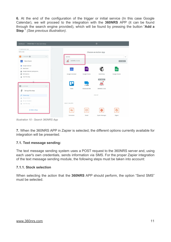**6.** At the end of the configuration of the trigger or initial service (In this case Google Calendar), we will proceed to the integration with the **360NRS** APP (it can be found through the search engine provided), which will be found by pressing the button "**Add a Step** " *(See previous illustration)*.

| Choose App or View Task History<br>Dashboard                           |  |                                   |               | *                             |                      |
|------------------------------------------------------------------------|--|-----------------------------------|---------------|-------------------------------|----------------------|
| / Name your zap<br>Add a note                                          |  |                                   |               | Choose an Action App          |                      |
| 1. TRIGGER<br>$\boxed{\odot}$                                          |  | 360NRS                            |               |                               | $\checkmark$         |
| New Event<br>31                                                        |  | 360NRS (1.0.0)<br>$\frac{1}{100}$ |               |                               | <b>BY INVITE</b>     |
| Google Calendar<br>New Event<br>÷<br>Google Calendar javiergonzal<br>≟ |  | 31                                | ⋿             |                               | 囯                    |
| <b>Edit Options</b><br>Ξ<br>Test This Step                             |  | Google Calendar                   | Google Forms  | Mailchimp<br><b>BY INVITE</b> | <b>Google Sheets</b> |
| $2.$ ACTION                                                            |  | l L                               | ClckSend      | 360                           |                      |
| Set up this step                                                       |  | Trello                            | ClickSend SMS | 360NRS (1.0.0)                |                      |
| Choose App<br>◢                                                        |  |                                   |               | show all                      |                      |
| Choose Action<br>₽                                                     |  |                                   |               |                               |                      |
| Set Up Template<br>a<br><b>C</b> Test This Step                        |  | <b>BUILT-IN APPS</b>              |               |                               |                      |
| + Add a Step                                                           |  | N                                 | ⊠             | ∗                             | S                    |
|                                                                        |  | Formatter                         | Email         | Zapier Manager                | <b>Digest</b>        |

*Illustration 10 - Search 360NRS App*

**7.** When the 360NRS APP in Zapier is selected, the different options currently available for integration will be presented.

## **7.1. Text message sending:**

The text message sending system uses a POST request to the 360NRS server and, using each user's own credentials, sends information via SMS. For the proper Zapier integration of the text message sending module, the following steps must be taken into account:

## **7.1.1. Stock selection**

When selecting the action that the **360NRS** APP should perform, the option "Send SMS" must be selected.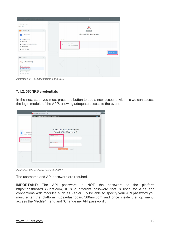| Dashboard<br>Choose Action or View Task History | ₩                                          |  |
|-------------------------------------------------|--------------------------------------------|--|
| / Name your zap                                 |                                            |  |
| Add a note                                      |                                            |  |
| Q 1. TRIGGER O<br>                              | <b>BY INVITE</b>                           |  |
| New Event<br>31                                 | Select 360NRS (1.0.0) Action               |  |
| Google Calendar                                 | CREATE                                     |  |
| <b>New Event</b><br>$\frac{1}{2}$               |                                            |  |
| Google Calendar javiergonzal<br>∸               | Sent SMS<br>$\odot$<br>Sent sms to service |  |
| <b>Edit Options</b><br>Ξ                        |                                            |  |
| Test This Step                                  |                                            |  |
|                                                 | Save + Continue                            |  |
| $\left  \frac{1}{2} \right $ 2. ACTION<br>      |                                            |  |
| n <sub>rs</sub><br>Set up this step             |                                            |  |
| 360NRS (1.0.0)                                  |                                            |  |
| <b>Choose Action</b><br>$\bigcap$ Edit Template | o                                          |  |
| <b>C</b> Test This Step                         | ÷                                          |  |

*Illustration 11 - Event selection send SMS*

# **7.1.2. 360NRS credentials**

In the next step, you must press the button to add a new account, with this we can access the login module of the APP, allowing adequate access to the event.

|                                                           | s.ta<br>O Connect an Account   Zapier - Opera<br>VPN & zapier.com/engine/auth/start/App11454CLIAPI@1.0.0/                              | See Detai<br>$\times$<br>$\Box$<br>$0 \bullet 1$ |
|-----------------------------------------------------------|----------------------------------------------------------------------------------------------------------------------------------------|--------------------------------------------------|
| / Test_360NR<br>r<br>added 22 hours<br>Connect an Account | Allow Zapier to access your<br>360NRS (1.0.0) Account?<br>Username (required)<br>Password (required)<br><b>Yes, Continue</b><br>Cancel | $\checkmark$                                     |
|                                                           |                                                                                                                                        |                                                  |

*Illustration 12 - Add new account 360NRS*

The username and API password are required.

**IMPORTANT:** The API password is NOT the password to the platform https://dashboard.360nrs.com, it is a different password that is used for APIs and connections with modules such as Zapier. To be able to specify your API password you must enter the platform https://dashboard.360nrs.com and once inside the top menu, access the "Profile" menu and "Change my API password".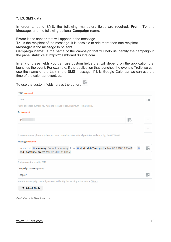### **7.1.3. SMS data**

In order to send SMS, the following mandatory fields are required: **From**, **To** and **Message**, and the following optional **Campaign name**.

**From:** is the sender that will appear in the message.

**To:** is the recipient of the message. It is possible to add more than one recipient.

**Message:** is the message to be sent.

**Campaign name:** is the name of the campaign that will help us identify the campaign in the panel statistics at https://dashboard.360nrs.com

In any of these fields you can use custom fields that will depend on the application that launches the event. For example, if the application that launches the event is Trello we can use the name of the task in the SMS message, if it is Google Calendar we can use the time of the calendar event, etc.

To use the custom fields, press the button:  $\overline{\Xi}$ <sup>o</sup>

| From (required)                                                                                         |            |            |
|---------------------------------------------------------------------------------------------------------|------------|------------|
| ZAP                                                                                                     |            | Ξo         |
| Name or sender number you want the receiver to see. Maximum 11 characters.                              |            |            |
| To (required)                                                                                           |            |            |
| 34                                                                                                      | $\equiv$ o |            |
|                                                                                                         |            | ÷          |
| Phone number or phone numbers you want to send to. International prefix is mandatory. E.g.: 34600000000 |            |            |
| Message (required)                                                                                      |            |            |
| New event <b>m</b> summary: Example summary from m start_dateTime_pretty: Mar 02, 2018 10:00AM to m     |            | $\equiv$ o |
| end_dateTime_pretty: Mar 02, 2018 11:00AM                                                               |            |            |
| Text you want to send by SMS.                                                                           |            |            |
| Campaign name (optional)                                                                                |            |            |
| Zapier                                                                                                  |            | $\equiv$ o |
| Introduce a campaign name if you want to identify this sending in the stats at 360nrs                   |            |            |
| <b>C</b> Refresh Fields                                                                                 |            |            |
|                                                                                                         |            |            |

*Illustration 13 - Data insertion*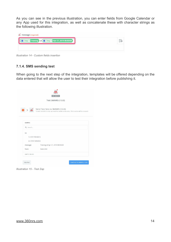As you can see in the previous illustration, you can enter fields from Google Calendar or any App used for this integration, as well as concatenate these with character strings as the following illustration.

| <b>61</b> Step 1 Training at <b>61</b> Step 1 Apr 27, 2019 08:00AM |  |
|--------------------------------------------------------------------|--|
|                                                                    |  |

*Illustration 14 - Custom fields insertion*

# **7.1.4. SMS sending test**

When going to the next step of the integration, templates will be offered depending on the data entered that will allow the user to test their integration before publishing it.

|                      | <b>BY INVITE</b>                                                                                                      |
|----------------------|-----------------------------------------------------------------------------------------------------------------------|
|                      | Test 360NRS (1.0.0)                                                                                                   |
| $\frac{360}{105}$    | Send Test Sms to 360NRS (1.0.0)<br>To test 360NRS (1.0.0), we need to create a new sms. This is what will be created: |
| SAMPLE:              |                                                                                                                       |
| Q Search             |                                                                                                                       |
| to:                  |                                                                                                                       |
| 1:573178548312       |                                                                                                                       |
|                      |                                                                                                                       |
| 2: 573415896352      | Training at Apr 27, 2019 08:00AM                                                                                      |
| message:             |                                                                                                                       |
| from:                | Demo360                                                                                                               |
| <b>EMPTY FIELDS:</b> |                                                                                                                       |
|                      |                                                                                                                       |

*Illustration 15 - Test Zap*